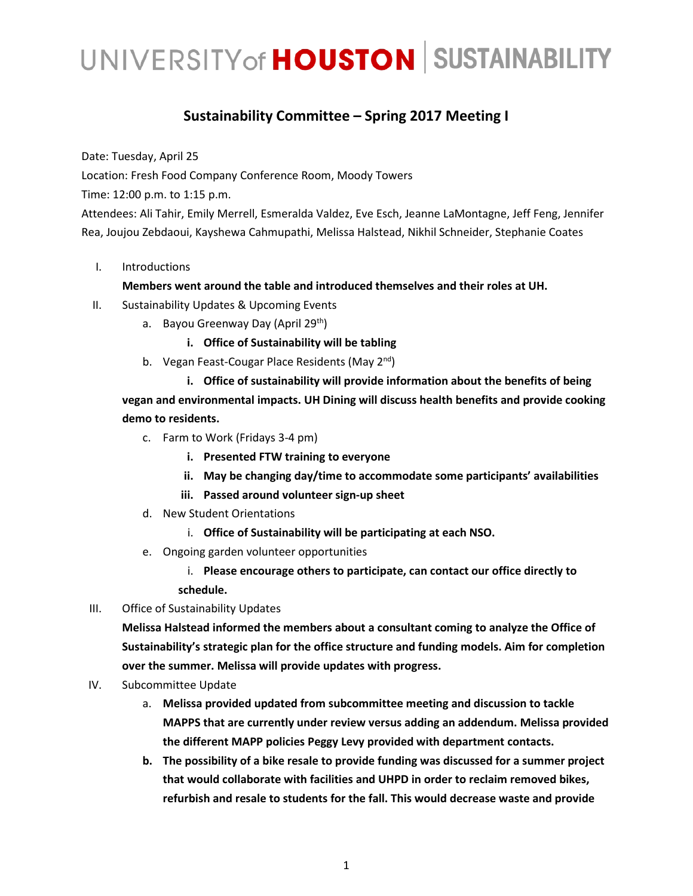# UNIVERSITY of **HOUSTON** SUSTAINABILITY

### **Sustainability Committee – Spring 2017 Meeting I**

Date: Tuesday, April 25

Location: Fresh Food Company Conference Room, Moody Towers

Time: 12:00 p.m. to 1:15 p.m.

Attendees: Ali Tahir, Emily Merrell, Esmeralda Valdez, Eve Esch, Jeanne LaMontagne, Jeff Feng, Jennifer Rea, Joujou Zebdaoui, Kayshewa Cahmupathi, Melissa Halstead, Nikhil Schneider, Stephanie Coates

I. Introductions

#### **Members went around the table and introduced themselves and their roles at UH.**

- II. Sustainability Updates & Upcoming Events
	- a. Bayou Greenway Day (April 29<sup>th</sup>)
		- **i. Office of Sustainability will be tabling**
	- b. Vegan Feast-Cougar Place Residents (May 2<sup>nd</sup>)

**i. Office of sustainability will provide information about the benefits of being vegan and environmental impacts. UH Dining will discuss health benefits and provide cooking demo to residents.** 

- c. Farm to Work (Fridays 3-4 pm)
	- **i. Presented FTW training to everyone**
	- **ii. May be changing day/time to accommodate some participants' availabilities**
	- **iii. Passed around volunteer sign-up sheet**
- d. New Student Orientations
	- i. **Office of Sustainability will be participating at each NSO.**
- e. Ongoing garden volunteer opportunities
	- i. **Please encourage others to participate, can contact our office directly to schedule.**
- III. Office of Sustainability Updates

**Melissa Halstead informed the members about a consultant coming to analyze the Office of Sustainability's strategic plan for the office structure and funding models. Aim for completion over the summer. Melissa will provide updates with progress.** 

- IV. Subcommittee Update
	- a. **Melissa provided updated from subcommittee meeting and discussion to tackle MAPPS that are currently under review versus adding an addendum. Melissa provided the different MAPP policies Peggy Levy provided with department contacts.**
	- **b. The possibility of a bike resale to provide funding was discussed for a summer project that would collaborate with facilities and UHPD in order to reclaim removed bikes, refurbish and resale to students for the fall. This would decrease waste and provide**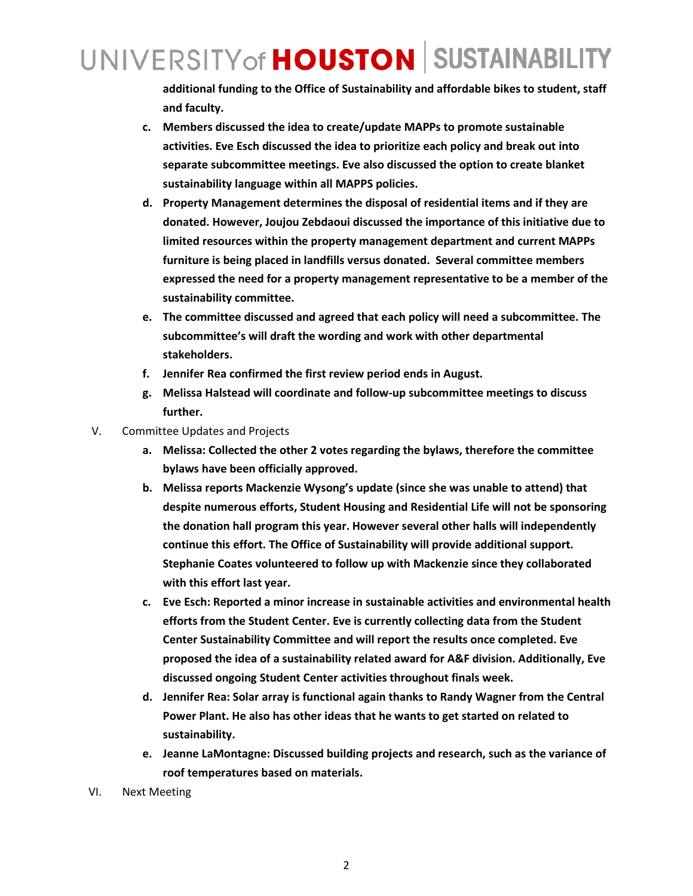## UNIVERSITY of **HOUSTON** SUSTAINABILITY

**additional funding to the Office of Sustainability and affordable bikes to student, staff and faculty.**

- **c. Members discussed the idea to create/update MAPPs to promote sustainable activities. Eve Esch discussed the idea to prioritize each policy and break out into separate subcommittee meetings. Eve also discussed the option to create blanket sustainability language within all MAPPS policies.**
- **d. Property Management determines the disposal of residential items and if they are donated. However, Joujou Zebdaoui discussed the importance of this initiative due to limited resources within the property management department and current MAPPs furniture is being placed in landfills versus donated. Several committee members expressed the need for a property management representative to be a member of the sustainability committee.**
- **e. The committee discussed and agreed that each policy will need a subcommittee. The subcommittee's will draft the wording and work with other departmental stakeholders.**
- **f. Jennifer Rea confirmed the first review period ends in August.**
- **g. Melissa Halstead will coordinate and follow-up subcommittee meetings to discuss further.**
- V. Committee Updates and Projects
	- **a. Melissa: Collected the other 2 votes regarding the bylaws, therefore the committee bylaws have been officially approved.**
	- **b. Melissa reports Mackenzie Wysong's update (since she was unable to attend) that despite numerous efforts, Student Housing and Residential Life will not be sponsoring the donation hall program this year. However several other halls will independently continue this effort. The Office of Sustainability will provide additional support. Stephanie Coates volunteered to follow up with Mackenzie since they collaborated with this effort last year.**
	- **c. Eve Esch: Reported a minor increase in sustainable activities and environmental health efforts from the Student Center. Eve is currently collecting data from the Student Center Sustainability Committee and will report the results once completed. Eve proposed the idea of a sustainability related award for A&F division. Additionally, Eve discussed ongoing Student Center activities throughout finals week.**
	- **d. Jennifer Rea: Solar array is functional again thanks to Randy Wagner from the Central Power Plant. He also has other ideas that he wants to get started on related to sustainability.**
	- **e. Jeanne LaMontagne: Discussed building projects and research, such as the variance of roof temperatures based on materials.**
- VI. Next Meeting